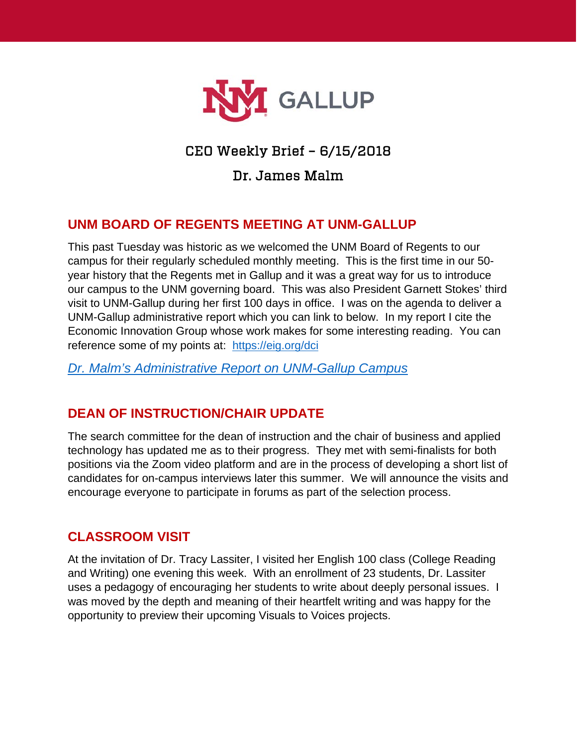

# CEO Weekly Brief – 6/15/2018

# Dr. James Malm

# **UNM BOARD OF REGENTS MEETING AT UNM-GALLUP**

This past Tuesday was historic as we welcomed the UNM Board of Regents to our campus for their regularly scheduled monthly meeting. This is the first time in our 50 year history that the Regents met in Gallup and it was a great way for us to introduce our campus to the UNM governing board. This was also President Garnett Stokes' third visit to UNM-Gallup during her first 100 days in office. I was on the agenda to deliver a UNM-Gallup administrative report which you can link to below. In my report I cite the Economic Innovation Group whose work makes for some interesting reading. You can reference some of my points at: <https://eig.org/dci>

*[Dr. Malm's Administrative Report on UNM-Gallup Campus](https://www.gallup.unm.edu/pdfs/bw-BORpresentation.pdf)*

### **DEAN OF INSTRUCTION/CHAIR UPDATE**

The search committee for the dean of instruction and the chair of business and applied technology has updated me as to their progress. They met with semi-finalists for both positions via the Zoom video platform and are in the process of developing a short list of candidates for on-campus interviews later this summer. We will announce the visits and encourage everyone to participate in forums as part of the selection process.

### **CLASSROOM VISIT**

At the invitation of Dr. Tracy Lassiter, I visited her English 100 class (College Reading and Writing) one evening this week. With an enrollment of 23 students, Dr. Lassiter uses a pedagogy of encouraging her students to write about deeply personal issues. I was moved by the depth and meaning of their heartfelt writing and was happy for the opportunity to preview their upcoming Visuals to Voices projects.